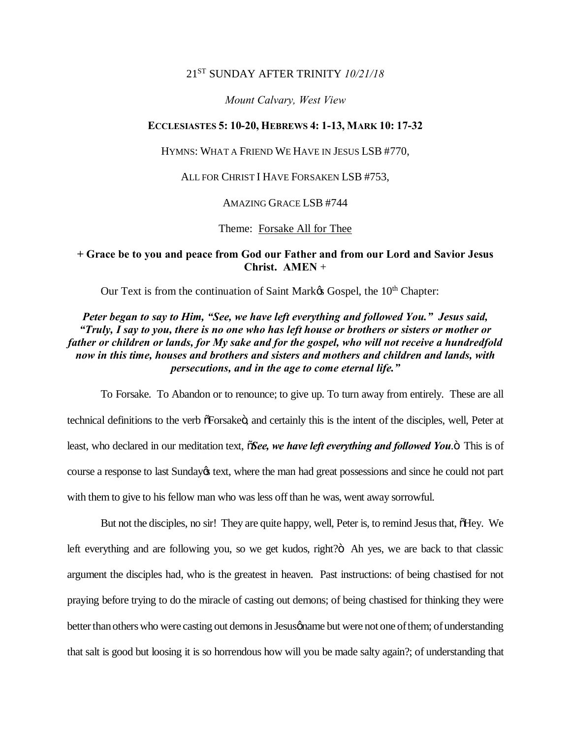## 21ST SUNDAY AFTER TRINITY *10/21/18*

### *Mount Calvary, West View*

### **ECCLESIASTES 5: 10-20, HEBREWS 4: 1-13, MARK 10: 17-32**

HYMNS: WHAT A FRIEND WE HAVE IN JESUS LSB #770,

ALL FOR CHRIST I HAVE FORSAKEN LSB #753,

AMAZING GRACE LSB #744

Theme: Forsake All for Thee

## **+ Grace be to you and peace from God our Father and from our Lord and Savior Jesus Christ. AMEN** +

Our Text is from the continuation of Saint Market Gospel, the 10<sup>th</sup> Chapter:

# *Peter began to say to Him, "See, we have left everything and followed You." Jesus said, "Truly, I say to you, there is no one who has left house or brothers or sisters or mother or father or children or lands, for My sake and for the gospel, who will not receive a hundredfold now in this time, houses and brothers and sisters and mothers and children and lands, with persecutions, and in the age to come eternal life."*

To Forsake. To Abandon or to renounce; to give up. To turn away from entirely. These are all technical definitions to the verb  $\tilde{\sigma}$ Forsake $\ddot{\sigma}$ , and certainly this is the intent of the disciples, well, Peter at least, who declared in our meditation text,  $\tilde{O}$ *See, we have left everything and followed You*.<sup> $\ddot{O}$ </sup> This is of course a response to last Sunday $\alpha$  text, where the man had great possessions and since he could not part with them to give to his fellow man who was less off than he was, went away sorrowful.

But not the disciples, no sir! They are quite happy, well, Peter is, to remind Jesus that,  $\delta$ Hey. We left everything and are following you, so we get kudos, right?ö Ah yes, we are back to that classic argument the disciples had, who is the greatest in heaven. Past instructions: of being chastised for not praying before trying to do the miracle of casting out demons; of being chastised for thinking they were better than others who were casting out demons in Jesus phase but were not one of them; of understanding that salt is good but loosing it is so horrendous how will you be made salty again?; of understanding that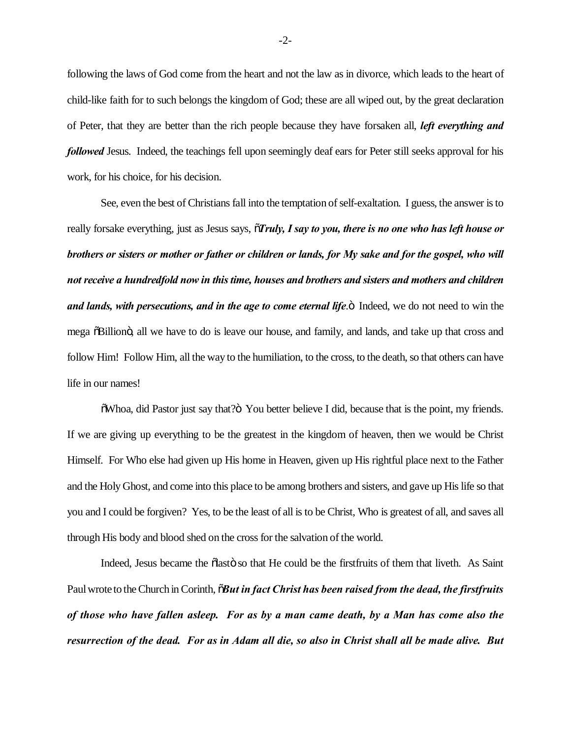following the laws of God come from the heart and not the law as in divorce, which leads to the heart of child-like faith for to such belongs the kingdom of God; these are all wiped out, by the great declaration of Peter, that they are better than the rich people because they have forsaken all, *left everything and followed* Jesus. Indeed, the teachings fell upon seemingly deaf ears for Peter still seeks approval for his work, for his choice, for his decision.

See, even the best of Christians fall into the temptation of self-exaltation. I guess, the answer is to really forsake everything, just as Jesus says,  $\tilde{\sigma}$ *Truly, I say to you, there is no one who has left house or brothers or sisters or mother or father or children or lands, for My sake and for the gospel, who will not receive a hundredfold now in this time, houses and brothers and sisters and mothers and children and lands, with persecutions, and in the age to come eternal life.* **Indeed, we do not need to win the** mega  $\delta$ Billion $\ddot{o}$ , all we have to do is leave our house, and family, and lands, and take up that cross and follow Him! Follow Him, all the way to the humiliation, to the cross, to the death, so that others can have life in our names!

 $\delta$ Whoa, did Pastor just say that? $\delta$  You better believe I did, because that is the point, my friends. If we are giving up everything to be the greatest in the kingdom of heaven, then we would be Christ Himself. For Who else had given up His home in Heaven, given up His rightful place next to the Father and the Holy Ghost, and come into this place to be among brothers and sisters, and gave up His life so that you and I could be forgiven? Yes, to be the least of all is to be Christ, Who is greatest of all, and saves all through His body and blood shed on the cross for the salvation of the world.

Indeed, Jesus became the  $\tilde{\text{a}}$  asto so that He could be the first fruits of them that liveth. As Saint Paul wrote to the Church in Corinth,  $\delta$ *But in fact Christ has been raised from the dead, the firstfruits of those who have fallen asleep. For as by a man came death, by a Man has come also the resurrection of the dead. For as in Adam all die, so also in Christ shall all be made alive. But* 

-2-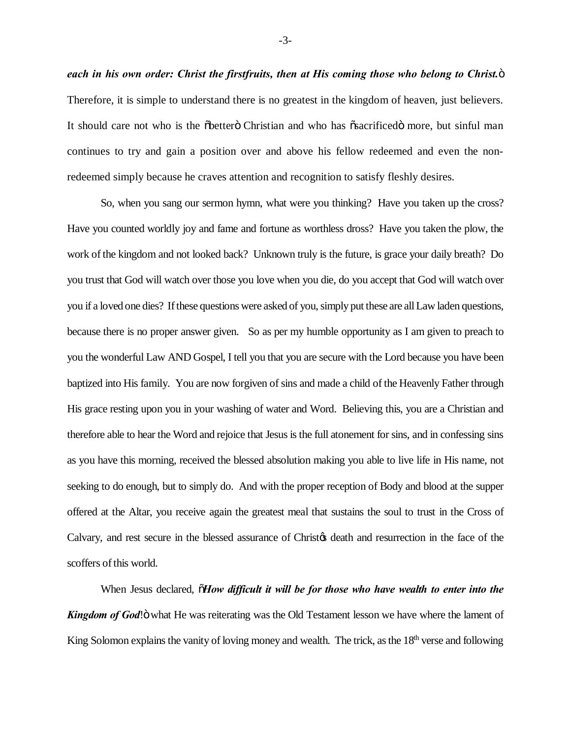*each in his own order: Christ the firstfruits, then at His coming those who belong to Christ.*" Therefore, it is simple to understand there is no greatest in the kingdom of heaven, just believers. It should care not who is the  $\delta$ better $\ddot{\sigma}$  Christian and who has  $\ddot{\sigma}$  sacrificed more, but sinful man continues to try and gain a position over and above his fellow redeemed and even the nonredeemed simply because he craves attention and recognition to satisfy fleshly desires.

So, when you sang our sermon hymn, what were you thinking? Have you taken up the cross? Have you counted worldly joy and fame and fortune as worthless dross? Have you taken the plow, the work of the kingdom and not looked back? Unknown truly is the future, is grace your daily breath? Do you trust that God will watch over those you love when you die, do you accept that God will watch over you if a loved one dies? If these questions were asked of you, simply put these are all Law laden questions, because there is no proper answer given. So as per my humble opportunity as I am given to preach to you the wonderful Law AND Gospel, I tell you that you are secure with the Lord because you have been baptized into His family. You are now forgiven of sins and made a child of the Heavenly Father through His grace resting upon you in your washing of water and Word. Believing this, you are a Christian and therefore able to hear the Word and rejoice that Jesus is the full atonement for sins, and in confessing sins as you have this morning, received the blessed absolution making you able to live life in His name, not seeking to do enough, but to simply do. And with the proper reception of Body and blood at the supper offered at the Altar, you receive again the greatest meal that sustains the soul to trust in the Cross of Calvary, and rest secure in the blessed assurance of Christ<sub>of</sub> death and resurrection in the face of the scoffers of this world.

When Jesus declared,  $\tilde{o}$ *How difficult it will be for those who have wealth to enter into the* **Kingdom of God!**" what He was reiterating was the Old Testament lesson we have where the lament of King Solomon explains the vanity of loving money and wealth. The trick, as the 18<sup>th</sup> verse and following

-3-